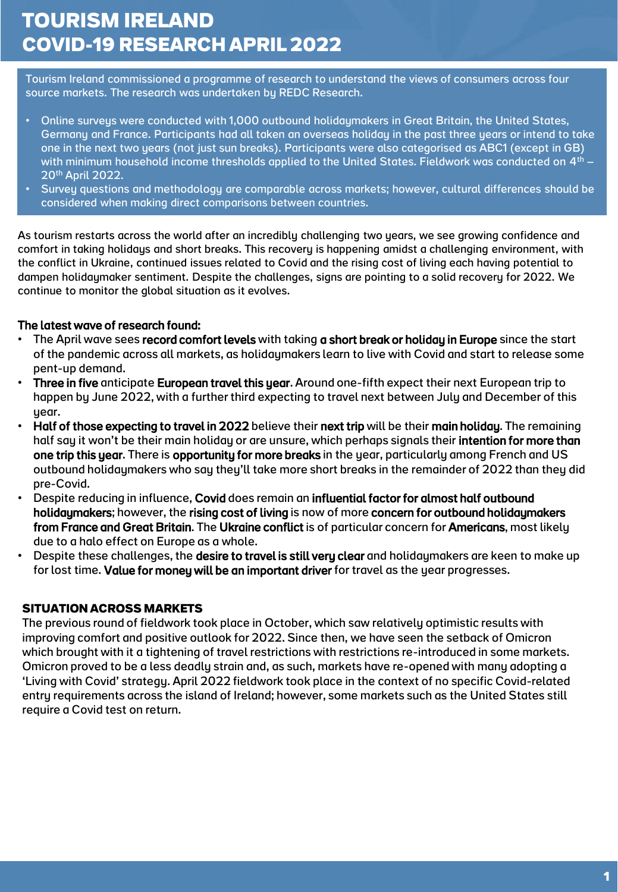# **TOURISM IRELAND COVID-19 RESEARCH APRIL 2022**

Tourism Ireland commissioned a programme of research to understand the views of consumers across four source markets. The research was undertaken by REDC Research.

- Online surveys were conducted with 1,000 outbound holidaymakers in Great Britain, the United States, Germany and France. Participants had all taken an overseas holiday in the past three years or intend to take one in the next two years (not just sun breaks). Participants were also categorised as ABC1 (except in GB) with minimum household income thresholds applied to the United States. Fieldwork was conducted on  $4<sup>th</sup> -$ 20th April 2022.
- Survey questions and methodology are comparable across markets; however, cultural differences should be considered when making direct comparisons between countries.

As tourism restarts across the world after an incredibly challenging two years, we see growing confidence and comfort in taking holidays and short breaks. This recovery is happening amidst a challenging environment, with the conflict in Ukraine, continued issues related to Covid and the rising cost of living each having potential to dampen holidaymaker sentiment. Despite the challenges, signs are pointing to a solid recovery for 2022. We continue to monitor the global situation as it evolves.

#### The latest wave of research found:

- The April wave sees record comfort levels with taking a short break or holiday in Europe since the start of the pandemic across all markets, as holidaymakers learn to live with Covid and start to release some pent-up demand.
- Three in five anticipate European travel this year. Around one-fifth expect their next European trip to happen by June 2022, with a further third expecting to travel next between July and December of this year.
- Half of those expecting to travel in 2022 believe their next trip will be their main holiday. The remaining half say it won't be their main holiday or are unsure, which perhaps signals their intention for more than one trip this year. There is opportunity for more breaks in the year, particularly among French and US outbound holidaymakers who say they'll take more short breaks in the remainder of 2022 than they did pre-Covid.
- Despite reducing in influence, Covid does remain an influential factor for almost half outbound holidaymakers; however, the rising cost of living is now of more concern for outbound holidaymakers from France and Great Britain. The Ukraine conflict is of particular concern for Americans, most likely due to a halo effect on Europe as a whole.
- Despite these challenges, the desire to travel is still very clear and holidaymakers are keen to make up for lost time. Value for money will be an important driver for travel as the year progresses.

#### **SITUATION ACROSS MARKETS**

The previous round of fieldwork took place in October, which saw relatively optimistic results with improving comfort and positive outlook for 2022. Since then, we have seen the setback of Omicron which brought with it a tightening of travel restrictions with restrictions re-introduced in some markets. Omicron proved to be a less deadly strain and, as such, markets have re-opened with many adopting a 'Living with Covid' strategy. April 2022 fieldwork took place in the context of no specific Covid-related entry requirements across the island of Ireland; however, some markets such as the United States still require a Covid test on return.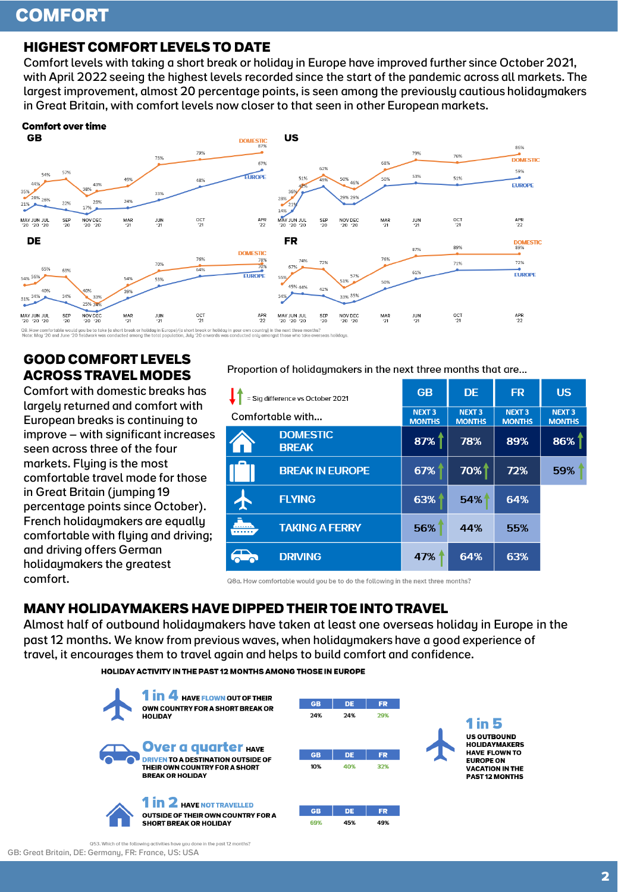# **COMFORT**

## **HIGHEST COMFORT LEVELS TO DATE**

Comfort levels with taking a short break or holiday in Europe have improved further since October 2021, with April 2022 seeing the highest levels recorded since the start of the pandemic across all markets. The largest improvement, almost 20 percentage points, is seen among the previously cautious holidaymakers in Great Britain, with comfort levels now closer to that seen in other European markets.



## **GOOD COMFORT LEVELS ACROSS TRAVEL MODES**

Comfort with domestic breaks has largely returned and comfort with European breaks is continuing to improve – with significant increases seen across three of the four markets. Flying is the most comfortable travel mode for those in Great Britain (jumping 19 percentage points since October). French holidaymakers are equally comfortable with flying and driving; and driving offers German holidaymakers the greatest comfort.

#### Proportion of holidgumakers in the next three months that are...

| = Sig difference vs October 2021 |                                 | <b>GB</b>                      | <b>DE</b>                                | <b>FR</b>                      | <b>US</b>                      |
|----------------------------------|---------------------------------|--------------------------------|------------------------------------------|--------------------------------|--------------------------------|
| Comfortable with                 |                                 | <b>NEXT 3</b><br><b>MONTHS</b> | <b>NEXT<sub>3</sub></b><br><b>MONTHS</b> | <b>NEXT 3</b><br><b>MONTHS</b> | <b>NEXT 3</b><br><b>MONTHS</b> |
|                                  | <b>DOMESTIC</b><br><b>BREAK</b> | 87%                            | 78%                                      | 89%                            | 86%                            |
|                                  | <b>BREAK IN EUROPE</b>          | 67%                            | 70%                                      | 72%                            | 59%                            |
|                                  | <b>FLYING</b>                   | 63%                            | 54%                                      | 64%                            |                                |
|                                  | <b>TAKING A FERRY</b>           | 56%                            | 44%                                      | 55%                            |                                |
|                                  | <b>DRIVING</b>                  | 47%                            | 64%                                      | 63%                            |                                |

Q8a. How comfortable would you be to do the following in the next three months?

## **MANY HOLIDAYMAKERS HAVE DIPPED THEIR TOE INTO TRAVEL**

Almost half of outbound holidaymakers have taken at least one overseas holiday in Europe in the past 12 months. We know from previous waves, when holidaymakers have a good experience of travel, it encourages them to travel again and helps to build comfort and confidence.

**HOLIDAY ACTIVITY IN THE PAST 12 MONTHS AMONG THOSE IN EUROPE** 



GB: Great Britain, DE: Germany, FR: France, US: USA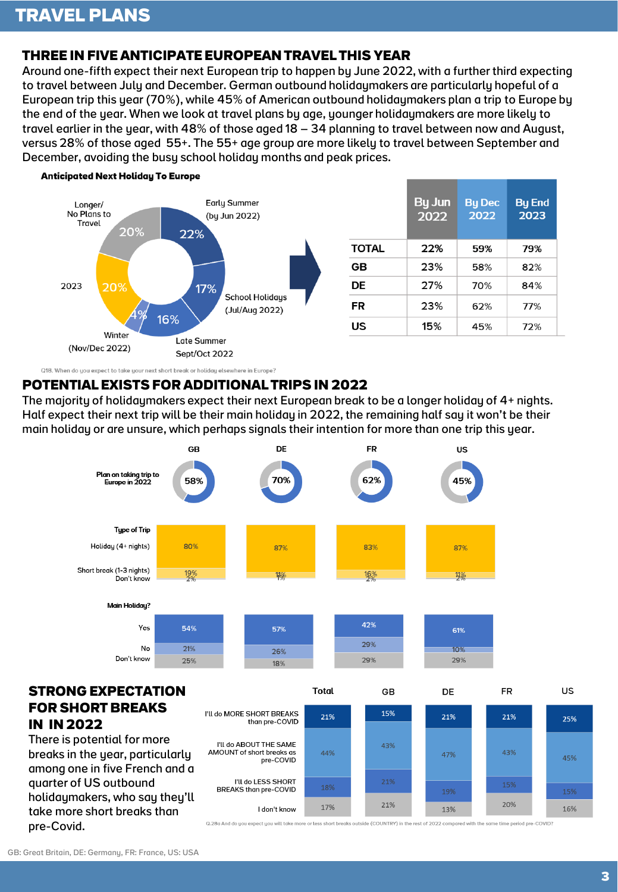# **THREE IN FIVE ANTICIPATE EUROPEAN TRAVEL THIS YEAR**

Around one-fifth expect their next European trip to happen by June 2022, with a further third expecting to travel between July and December. German outbound holidaymakers are particularly hopeful of a European trip this year (70%), while 45% of American outbound holidaymakers plan a trip to Europe by the end of the year. When we look at travel plans by age, younger holidaymakers are more likely to travel earlier in the year, with 48% of those aged 18 – 34 planning to travel between now and August, versus 28% of those aged 55+. The 55+ age group are more likely to travel between September and December, avoiding the busy school holiday months and peak prices.



#### **Anticipated Next Holiday To Europe**

### **POTENTIAL EXISTS FOR ADDITIONAL TRIPS IN 2022**

Q18. When do you expect to take your next short break or holiday elsewhere in Europe?

The majority of holidaymakers expect their next European break to be a longer holiday of 4+ nights. Half expect their next trip will be their main holiday in 2022, the remaining half say it won't be their main holiday or are unsure, which perhaps signals their intention for more than one trip this year.



### **STRONG EXPECTATION FOR SHORT BREAKS IN IN 2022**

There is potential for more breaks in the year, particularly among one in five French and a quarter of US outbound holidaymakers, who say they'll take more short breaks than pre-Covid.

|                                                                  | ιοται | GВ  | DE  | нκ  | US  |
|------------------------------------------------------------------|-------|-----|-----|-----|-----|
| I'll do MORE SHORT BREAKS<br>than pre-COVID                      | 21%   | 15% | 21% | 21% | 25% |
| I'll do ABOUT THE SAME<br>AMOUNT of short breaks as<br>pre-COVID | 44%   | 43% | 47% | 43% | 45% |
| I'll do LESS SHORT<br><b>BREAKS than pre-COVID</b>               | 18%   | 21% | 19% | 15% | 15% |
| don't know                                                       | 17%   | 21% | 13% | 20% | 16% |

Q.28a And do you expect you will take more or less short breaks outside (COUNTRY) in the rest of 2022 compared with the same time period pre-COVID?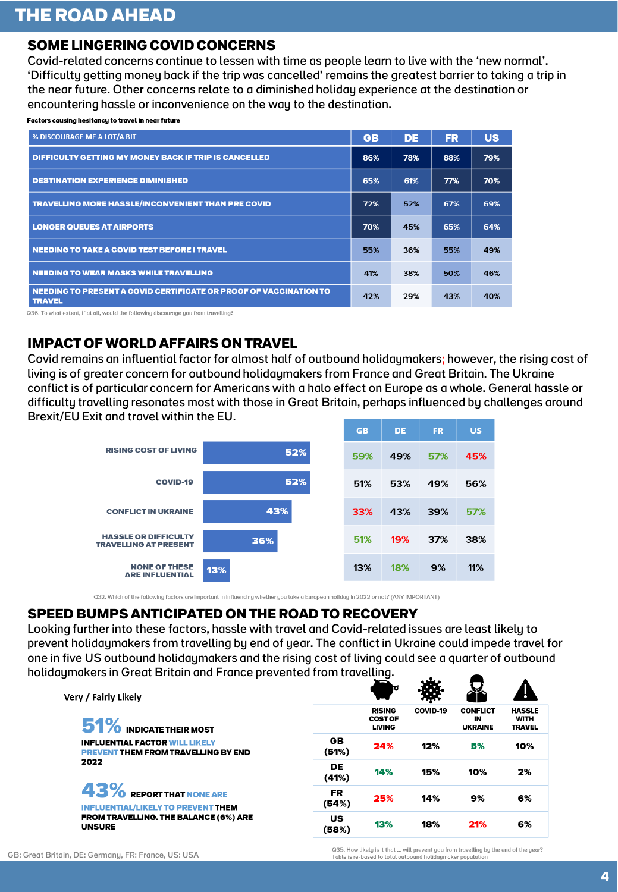### **SOME LINGERING COVID CONCERNS**

Covid-related concerns continue to lessen with time as people learn to live with the 'new normal'. 'Difficulty getting money back if the trip was cancelled' remains the greatest barrier to taking a trip in the near future. Other concerns relate to a diminished holiday experience at the destination or encountering hassle or inconvenience on the way to the destination.

Factors causing hesitancy to travel in near future

| % DISCOURAGE ME A LOT/A BIT                                                        | <b>GB</b> | DE  | <b>FR</b> | <b>US</b> |
|------------------------------------------------------------------------------------|-----------|-----|-----------|-----------|
| <b>DIFFICULTY GETTING MY MONEY BACK IF TRIP IS CANCELLED</b>                       | 86%       | 78% | 88%       | 79%       |
| <b>DESTINATION EXPERIENCE DIMINISHED</b>                                           | 65%       | 61% | 77%       | 70%       |
| <b>TRAVELLING MORE HASSLE/INCONVENIENT THAN PRE COVID</b>                          | 72%       | 52% | 67%       | 69%       |
| <b>LONGER QUEUES AT AIRPORTS</b>                                                   | 70%       | 45% | 65%       | 64%       |
| NEEDING TO TAKE A COVID TEST BEFORE I TRAVEL                                       | 55%       | 36% | 55%       | 49%       |
| NEEDING TO WEAR MASKS WHILE TRAVELLING                                             | 41%       | 38% | 50%       | 46%       |
| NEEDING TO PRESENT A COVID CERTIFICATE OR PROOF OF VACCINATION TO<br><b>TRAVEL</b> | 42%       | 29% | 43%       | 40%       |

Q36. To what extent, if at all, would the following discourage you from travelling?

## **IMPACT OF WORLD AFFAIRS ON TRAVEL**

Covid remains an influential factor for almost half of outbound holidaymakers; however, the rising cost of living is of greater concern for outbound holidaymakers from France and Great Britain. The Ukraine conflict is of particular concern for Americans with a halo effect on Europe as a whole. General hassle or difficulty travelling resonates most with those in Great Britain, perhaps influenced by challenges around Brexit/EU Exit and travel within the EU.



Q32. Which of the following factors are important in influencing whether you take a European holiday in 2022 or not? (ANY IMPORTANT)

### **SPEED BUMPS ANTICIPATED ON THE ROAD TO RECOVERY**

Looking further into these factors, hassle with travel and Covid-related issues are least likely to prevent holidaymakers from travelling by end of year. The conflict in Ukraine could impede travel for one in five US outbound holidaymakers and the rising cost of living could see a quarter of outbound holidaymakers in Great Britain and France prevented from travelling.

| Very / Fairly Likely                                                                        |  |
|---------------------------------------------------------------------------------------------|--|
| 51% INDICATE THEIR MOST                                                                     |  |
| <b>INFLUENTIAL FACTOR WILL LIKELY</b><br><b>PREVENT THEM FROM TRAVELLING BY END</b><br>2022 |  |
| 43% REPORT THAT NONE ARE                                                                    |  |
| <b>INFLUENTIAL/LIKELY TO PREVENT THEM</b><br><b>FROM TRAVELLING. THE BALANCE (6%) ARE</b>   |  |

|             | ю                                                |          |                                         |                                               |
|-------------|--------------------------------------------------|----------|-----------------------------------------|-----------------------------------------------|
|             | <b>RISING</b><br><b>COST OF</b><br><b>LIVING</b> | COVID-19 | <b>CONFLICT</b><br>IN<br><b>UKRAINE</b> | <b>HASSLE</b><br><b>WITH</b><br><b>TRAVEL</b> |
| GB<br>(51%) | 24%                                              | 12%      | 5%                                      | 10%                                           |
| DE<br>(41%) | 14%                                              | 15%      | 10%                                     | 2%                                            |
| FR<br>(54%) | 25%                                              | 14%      | 9%                                      | 6%                                            |
| US<br>(58%) | 13%                                              | 18%      | 21%                                     | 6%                                            |

**UNSURE** 

Q35. How likely is it that ... will prevent you from travelling by the end of the year?<br>Table is re-based to total outbound holidaymaker population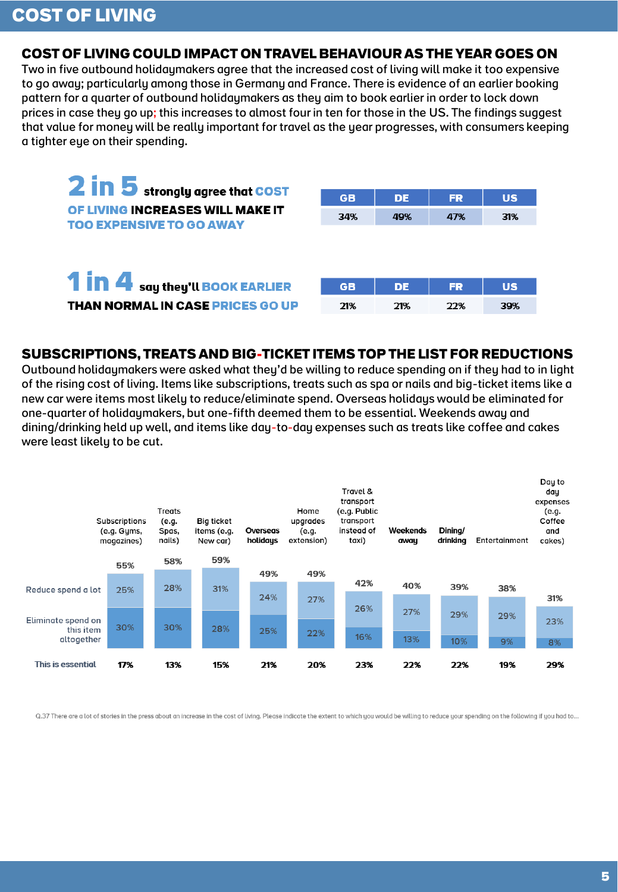#### **COST OF LIVING COULD IMPACT ON TRAVEL BEHAVIOUR AS THE YEAR GOES ON**

Two in five outbound holidaymakers agree that the increased cost of living will make it too expensive to go away; particularly among those in Germany and France. There is evidence of an earlier booking pattern for a quarter of outbound holidaymakers as they aim to book earlier in order to lock down prices in case they go up; this increases to almost four in ten for those in the US. The findings suggest that value for money will be really important for travel as the year progresses, with consumers keeping a tighter eye on their spending.

| 2 in 5 strongly agree that COST<br>OF LIVING INCREASES WILL MAKE IT<br><b>TOO EXPENSIVE TO GO AWAY</b> | <b>GB</b><br>34% | <b>DE</b><br>49% | <b>FR</b><br>47% | <b>US</b><br>31% |
|--------------------------------------------------------------------------------------------------------|------------------|------------------|------------------|------------------|
| 1 in 4 say they'll BOOK EARLIER                                                                        | <b>GB</b>        | <b>DE</b>        | <b>FR</b>        | <b>US</b>        |
| <b>THAN NORMAL IN CASE PRICES GO UP</b>                                                                | 21%              | 21%              | 22%              | 39%              |

#### **SUBSCRIPTIONS, TREATS AND BIG-TICKET ITEMS TOP THE LIST FOR REDUCTIONS**

Outbound holidaymakers were asked what they'd be willing to reduce spending on if they had to in light of the rising cost of living. Items like subscriptions, treats such as spa or nails and big-ticket items like a new car were items most likely to reduce/eliminate spend. Overseas holidays would be eliminated for one-quarter of holidaymakers, but one-fifth deemed them to be essential. Weekends away and dining/drinking held up well, and items like day-to-day expenses such as treats like coffee and cakes were least likely to be cut.



Q.37 There are a lot of stories in the press about an increase in the cost of living. Please indicate the extent to which you would be willing to reduce your spending on the following if you had to...